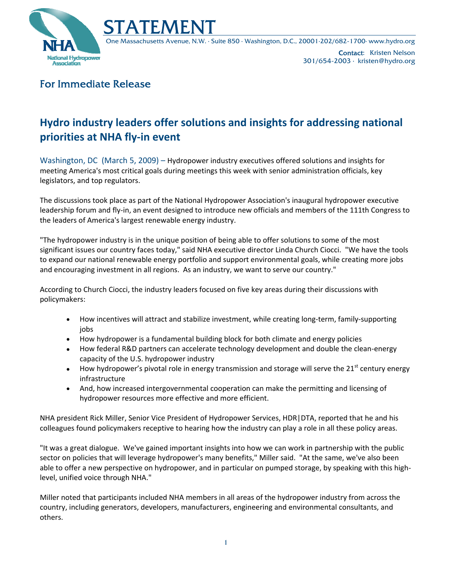

One Massachusetts Avenue, N.W. · Suite 850 · Washington, D.C., 20001·202/682-1700· www.hydro.org

Contact: Kristen Nelson 301/654-2003 · kristen@hydro.org

## For Immediate Release

## **Hydro industry leaders offer solutions and insights for addressing national priorities at NHA fly‐in event**

Washington, DC (March 5, 2009) – Hydropower industry executives offered solutions and insights for meeting America's most critical goals during meetings this week with senior administration officials, key legislators, and top regulators.

The discussions took place as part of the National Hydropower Association's inaugural hydropower executive leadership forum and fly‐in, an event designed to introduce new officials and members of the 111th Congress to the leaders of America's largest renewable energy industry.

"The hydropower industry is in the unique position of being able to offer solutions to some of the most significant issues our country faces today," said NHA executive director Linda Church Ciocci. "We have the tools to expand our national renewable energy portfolio and support environmental goals, while creating more jobs and encouraging investment in all regions. As an industry, we want to serve our country."

According to Church Ciocci, the industry leaders focused on five key areas during their discussions with policymakers:

- How incentives will attract and stabilize investment, while creating long-term, family-supporting jobs
- How hydropower is a fundamental building block for both climate and energy policies
- How federal R&D partners can accelerate technology development and double the clean-energy capacity of the U.S. hydropower industry
- How hydropower's pivotal role in energy transmission and storage will serve the 21<sup>st</sup> century energy infrastructure
- And, how increased intergovernmental cooperation can make the permitting and licensing of hydropower resources more effective and more efficient.

NHA president Rick Miller, Senior Vice President of Hydropower Services, HDR|DTA, reported that he and his colleagues found policymakers receptive to hearing how the industry can play a role in all these policy areas.

"It was a great dialogue. We've gained important insights into how we can work in partnership with the public sector on policies that will leverage hydropower's many benefits," Miller said. "At the same, we've also been able to offer a new perspective on hydropower, and in particular on pumped storage, by speaking with this high‐ level, unified voice through NHA."

Miller noted that participants included NHA members in all areas of the hydropower industry from across the country, including generators, developers, manufacturers, engineering and environmental consultants, and others.